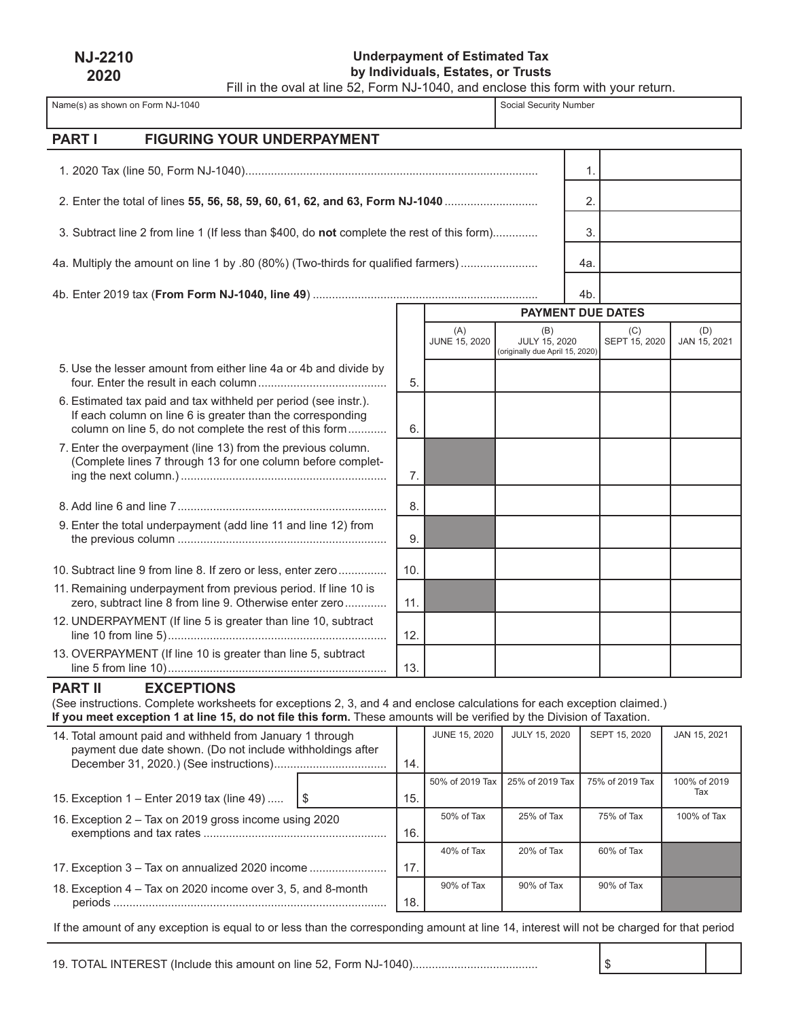| <b>NJ-2210</b> |  |
|----------------|--|
| 2020           |  |

í,

# **Underpayment of Estimated Tax by Individuals, Estates, or Trusts**

Name(s) as shown on Form NJ-1040 Social Security Number Social Security Number

Fill in the oval at line 52, Form NJ-1040, and enclose this form with your return.

| PART I<br><b>FIGURING YOUR UNDERPAYMENT</b>                                                                                                                                                                                                                                              |     |                      |                                                         |     |                          |                     |
|------------------------------------------------------------------------------------------------------------------------------------------------------------------------------------------------------------------------------------------------------------------------------------------|-----|----------------------|---------------------------------------------------------|-----|--------------------------|---------------------|
|                                                                                                                                                                                                                                                                                          |     |                      |                                                         | 1.  |                          |                     |
| 2. Enter the total of lines 55, 56, 58, 59, 60, 61, 62, and 63, Form NJ-1040                                                                                                                                                                                                             |     |                      |                                                         | 2.  |                          |                     |
|                                                                                                                                                                                                                                                                                          |     |                      |                                                         |     |                          |                     |
| 3. Subtract line 2 from line 1 (If less than \$400, do not complete the rest of this form)                                                                                                                                                                                               |     |                      |                                                         | 3.  |                          |                     |
| 4a. Multiply the amount on line 1 by .80 (80%) (Two-thirds for qualified farmers)                                                                                                                                                                                                        |     |                      |                                                         | 4a. |                          |                     |
|                                                                                                                                                                                                                                                                                          |     |                      |                                                         | 4b. |                          |                     |
|                                                                                                                                                                                                                                                                                          |     |                      |                                                         |     | <b>PAYMENT DUE DATES</b> |                     |
|                                                                                                                                                                                                                                                                                          |     | (A)<br>JUNE 15, 2020 | (B)<br>JULY 15, 2020<br>(originally due April 15, 2020) |     | (C)<br>SEPT 15, 2020     | (D)<br>JAN 15, 2021 |
| 5. Use the lesser amount from either line 4a or 4b and divide by                                                                                                                                                                                                                         | 5.  |                      |                                                         |     |                          |                     |
| 6. Estimated tax paid and tax withheld per period (see instr.).<br>If each column on line 6 is greater than the corresponding<br>column on line 5, do not complete the rest of this form                                                                                                 | 6.  |                      |                                                         |     |                          |                     |
| 7. Enter the overpayment (line 13) from the previous column.<br>(Complete lines 7 through 13 for one column before complet-                                                                                                                                                              | 7.  |                      |                                                         |     |                          |                     |
|                                                                                                                                                                                                                                                                                          | 8.  |                      |                                                         |     |                          |                     |
| 9. Enter the total underpayment (add line 11 and line 12) from                                                                                                                                                                                                                           | 9.  |                      |                                                         |     |                          |                     |
| 10. Subtract line 9 from line 8. If zero or less, enter zero                                                                                                                                                                                                                             | 10. |                      |                                                         |     |                          |                     |
| 11. Remaining underpayment from previous period. If line 10 is<br>zero, subtract line 8 from line 9. Otherwise enter zero                                                                                                                                                                | 11. |                      |                                                         |     |                          |                     |
| 12. UNDERPAYMENT (If line 5 is greater than line 10, subtract                                                                                                                                                                                                                            | 12. |                      |                                                         |     |                          |                     |
| 13. OVERPAYMENT (If line 10 is greater than line 5, subtract                                                                                                                                                                                                                             | 13. |                      |                                                         |     |                          |                     |
| <b>PART II</b><br><b>EXCEPTIONS</b><br>(See instructions. Complete worksheets for exceptions 2, 3, and 4 and enclose calculations for each exception claimed.)<br>If you meet exception 1 at line 15, do not file this form. These amounts will be verified by the Division of Taxation. |     |                      |                                                         |     |                          |                     |

| 14. Total amount paid and withheld from January 1 through<br>payment due date shown. (Do not include withholdings after |    | 14. | <b>JUNE 15, 2020</b> | JULY 15, 2020   | SEPT 15, 2020   | JAN 15, 2021 |
|-------------------------------------------------------------------------------------------------------------------------|----|-----|----------------------|-----------------|-----------------|--------------|
|                                                                                                                         |    |     | 50% of 2019 Tax      | 25% of 2019 Tax | 75% of 2019 Tax | 100% of 2019 |
| 15. Exception 1 – Enter 2019 tax (line 49)                                                                              | 15 | 15. |                      |                 |                 | Tax          |
| 16. Exception 2 – Tax on 2019 gross income using 2020                                                                   |    | 16. | 50% of Tax           | 25% of Tax      | 75% of Tax      | 100% of Tax  |
|                                                                                                                         |    |     | 40% of Tax           | 20% of Tax      | 60% of Tax      |              |
| 17. Exception 3 – Tax on annualized 2020 income                                                                         |    | 17. |                      |                 |                 |              |
| 18. Exception 4 – Tax on 2020 income over 3, 5, and 8-month                                                             |    | 18. | 90% of Tax           | 90% of Tax      | 90% of Tax      |              |

If the amount of any exception is equal to or less than the corresponding amount at line 14, interest will not be charged for that period

19. TOTAL INTEREST (Include this amount on line 52, Form NJ-1040)....................................... \$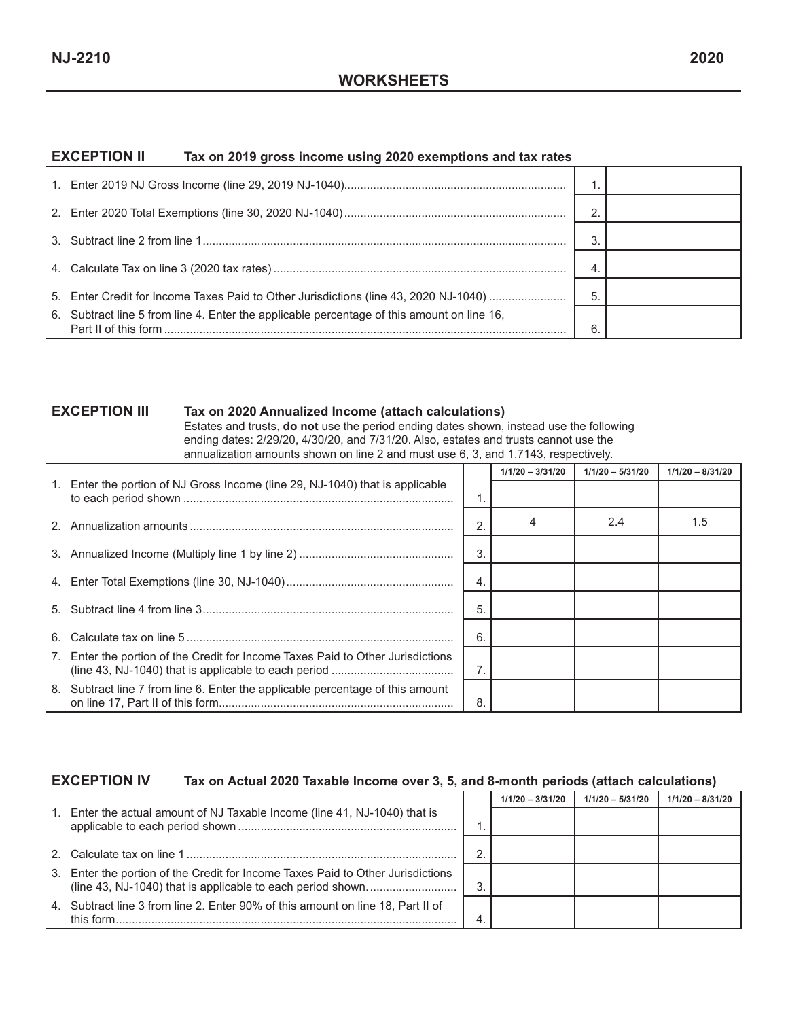#### **EXCEPTION II Tax on 2019 gross income using 2020 exemptions and tax rates**

|                                                                                            | 2 |  |
|--------------------------------------------------------------------------------------------|---|--|
|                                                                                            | 3 |  |
|                                                                                            | 4 |  |
| 5. Enter Credit for Income Taxes Paid to Other Jurisdictions (line 43, 2020 NJ-1040)       | 5 |  |
| 6. Subtract line 5 from line 4. Enter the applicable percentage of this amount on line 16, | 6 |  |

#### **EXCEPTION III Tax on 2020 Annualized Income (attach calculations)**

Estates and trusts, **do not** use the period ending dates shown, instead use the following ending dates: 2/29/20, 4/30/20, and 7/31/20. Also, estates and trusts cannot use the annualization amounts shown on line 2 and must use 6, 3, and 1.7143, respectively.

|    |                                                                                 |                  | $1/1/20 - 3/31/20$ | $1/1/20 - 5/31/20$ | $1/1/20 - 8/31/20$ |
|----|---------------------------------------------------------------------------------|------------------|--------------------|--------------------|--------------------|
|    | 1. Enter the portion of NJ Gross Income (line 29, NJ-1040) that is applicable   |                  |                    |                    |                    |
|    |                                                                                 | 2                |                    | 2.4                | 1.5                |
|    |                                                                                 | 3                |                    |                    |                    |
|    |                                                                                 | $\overline{4}$   |                    |                    |                    |
|    |                                                                                 | 5                |                    |                    |                    |
| 6. |                                                                                 | 6                |                    |                    |                    |
|    | 7. Enter the portion of the Credit for Income Taxes Paid to Other Jurisdictions | $\overline{7}$ . |                    |                    |                    |
|    | 8. Subtract line 7 from line 6. Enter the applicable percentage of this amount  | 8                |                    |                    |                    |

#### **EXCEPTION IV Tax on Actual 2020 Taxable Income over 3, 5, and 8-month periods (attach calculations)**

|                                                                                              |   | $1/1/20 - 3/31/20$ | $1/1/20 - 5/31/20$ | $1/1/20 - 8/31/20$ |
|----------------------------------------------------------------------------------------------|---|--------------------|--------------------|--------------------|
| 1. Enter the actual amount of NJ Taxable Income (line 41, NJ-1040) that is                   |   |                    |                    |                    |
|                                                                                              | ◠ |                    |                    |                    |
| 3. Enter the portion of the Credit for Income Taxes Paid to Other Jurisdictions              | 3 |                    |                    |                    |
| 4. Subtract line 3 from line 2. Enter 90% of this amount on line 18, Part II of<br>this form |   |                    |                    |                    |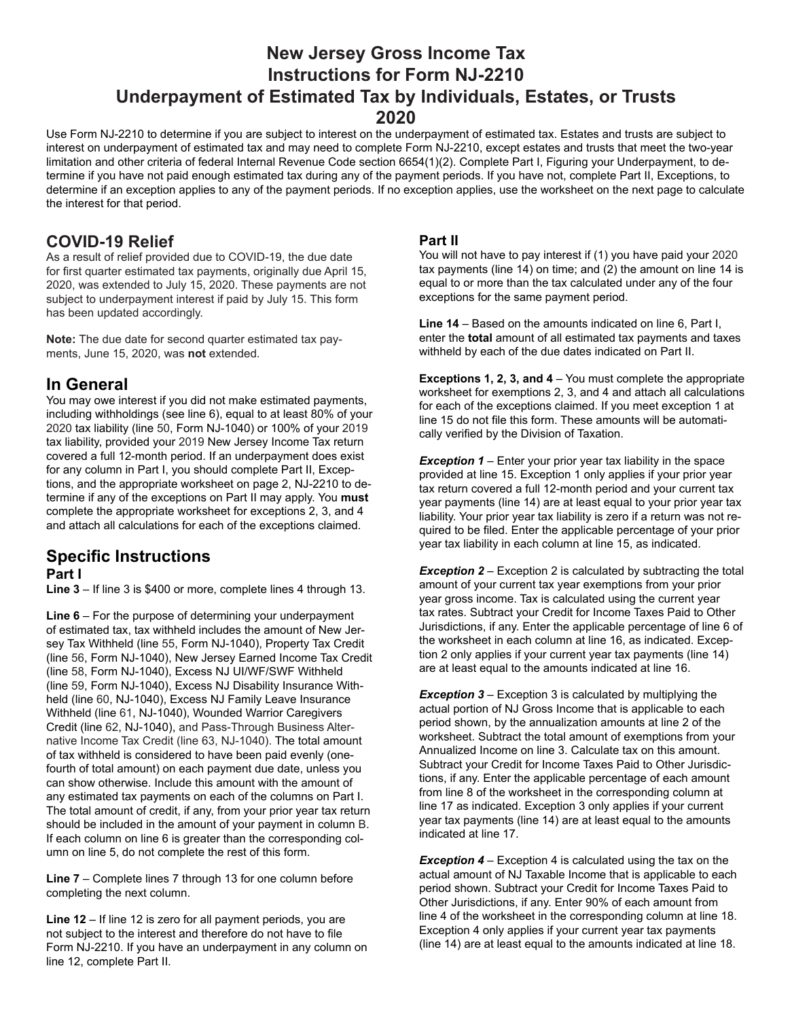# **New Jersey Gross Income Tax Instructions for Form NJ-2210 Underpayment of Estimated Tax by Individuals, Estates, or Trusts 2020**

Use Form NJ-2210 to determine if you are subject to interest on the underpayment of estimated tax. Estates and trusts are subject to interest on underpayment of estimated tax and may need to complete Form NJ-2210, except estates and trusts that meet the two-year limitation and other criteria of federal Internal Revenue Code section 6654(1)(2). Complete Part I, Figuring your Underpayment, to determine if you have not paid enough estimated tax during any of the payment periods. If you have not, complete Part II, Exceptions, to determine if an exception applies to any of the payment periods. If no exception applies, use the worksheet on the next page to calculate the interest for that period.

#### **COVID-19 Relief**

As a result of relief provided due to COVID-19, the due date for first quarter estimated tax payments, originally due April 15, 2020, was extended to July 15, 2020. These payments are not subject to underpayment interest if paid by July 15. This form has been updated accordingly.

**Note:** The due date for second quarter estimated tax payments, June 15, 2020, was **not** extended.

#### **In General**

You may owe interest if you did not make estimated payments, including withholdings (see line 6), equal to at least 80% of your 2020 tax liability (line 50, Form NJ-1040) or 100% of your 2019 tax liability, provided your 2019 New Jersey Income Tax return covered a full 12-month period. If an underpayment does exist for any column in Part I, you should complete Part II, Exceptions, and the appropriate worksheet on page 2, NJ-2210 to determine if any of the exceptions on Part II may apply. You **must** complete the appropriate worksheet for exceptions 2, 3, and 4 and attach all calculations for each of the exceptions claimed.

# **Specific Instructions**

#### **Part I**

**Line 3** – If line 3 is \$400 or more, complete lines 4 through 13.

**Line 6** – For the purpose of determining your underpayment of estimated tax, tax withheld includes the amount of New Jersey Tax Withheld (line 55, Form NJ-1040), Property Tax Credit (line 56, Form NJ-1040), New Jersey Earned Income Tax Credit (line 58, Form NJ-1040), Excess NJ UI/WF/SWF Withheld (line 59, Form NJ-1040), Excess NJ Disability Insurance Withheld (line 60, NJ-1040), Excess NJ Family Leave Insurance Withheld (line 61, NJ-1040), Wounded Warrior Caregivers Credit (line 62, NJ-1040), and Pass-Through Business Alternative Income Tax Credit (line 63, NJ-1040). The total amount of tax withheld is considered to have been paid evenly (onefourth of total amount) on each payment due date, unless you can show otherwise. Include this amount with the amount of any estimated tax payments on each of the columns on Part I. The total amount of credit, if any, from your prior year tax return should be included in the amount of your payment in column B. If each column on line 6 is greater than the corresponding column on line 5, do not complete the rest of this form.

**Line 7** – Complete lines 7 through 13 for one column before completing the next column.

**Line 12** – If line 12 is zero for all payment periods, you are not subject to the interest and therefore do not have to file Form NJ-2210. If you have an underpayment in any column on line 12, complete Part II.

#### **Part II**

You will not have to pay interest if (1) you have paid your 2020 tax payments (line 14) on time; and (2) the amount on line 14 is equal to or more than the tax calculated under any of the four exceptions for the same payment period.

**Line 14** – Based on the amounts indicated on line 6, Part I, enter the **total** amount of all estimated tax payments and taxes withheld by each of the due dates indicated on Part II.

**Exceptions 1, 2, 3, and 4** – You must complete the appropriate worksheet for exemptions 2, 3, and 4 and attach all calculations for each of the exceptions claimed. If you meet exception 1 at line 15 do not file this form. These amounts will be automatically verified by the Division of Taxation.

**Exception 1** – Enter your prior year tax liability in the space provided at line 15. Exception 1 only applies if your prior year tax return covered a full 12-month period and your current tax year payments (line 14) are at least equal to your prior year tax liability. Your prior year tax liability is zero if a return was not required to be filed. Enter the applicable percentage of your prior year tax liability in each column at line 15, as indicated.

**Exception 2** – Exception 2 is calculated by subtracting the total amount of your current tax year exemptions from your prior year gross income. Tax is calculated using the current year tax rates. Subtract your Credit for Income Taxes Paid to Other Jurisdictions, if any. Enter the applicable percentage of line 6 of the worksheet in each column at line 16, as indicated. Exception 2 only applies if your current year tax payments (line 14) are at least equal to the amounts indicated at line 16.

*Exception 3* – Exception 3 is calculated by multiplying the actual portion of NJ Gross Income that is applicable to each period shown, by the annualization amounts at line 2 of the worksheet. Subtract the total amount of exemptions from your Annualized Income on line 3. Calculate tax on this amount. Subtract your Credit for Income Taxes Paid to Other Jurisdictions, if any. Enter the applicable percentage of each amount from line 8 of the worksheet in the corresponding column at line 17 as indicated. Exception 3 only applies if your current year tax payments (line 14) are at least equal to the amounts indicated at line 17.

**Exception 4** – Exception 4 is calculated using the tax on the actual amount of NJ Taxable Income that is applicable to each period shown. Subtract your Credit for Income Taxes Paid to Other Jurisdictions, if any. Enter 90% of each amount from line 4 of the worksheet in the corresponding column at line 18. Exception 4 only applies if your current year tax payments (line 14) are at least equal to the amounts indicated at line 18.